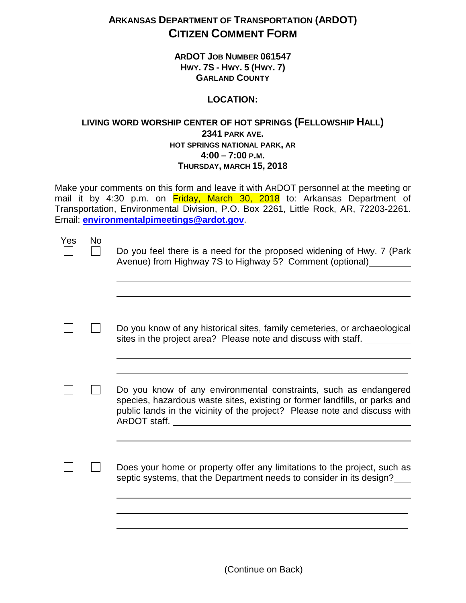## **ARKANSAS DEPARTMENT OF TRANSPORTATION (ARDOT) CITIZEN COMMENT FORM**

**ARDOT JOB NUMBER 061547 HWY. 7S - HWY. 5 (HWY. 7) GARLAND COUNTY**

## **LOCATION:**

## **LIVING WORD WORSHIP CENTER OF HOT SPRINGS (FELLOWSHIP HALL) 2341 PARK AVE. HOT SPRINGS NATIONAL PARK, AR 4:00 – 7:00 P.M. THURSDAY, MARCH 15, 2018**

Make your comments on this form and leave it with ARDOT personnel at the meeting or mail it by 4:30 p.m. on Friday, March 30, 2018 to: Arkansas Department of Transportation, Environmental Division, P.O. Box 2261, Little Rock, AR, 72203-2261. Email: **[environmentalpimeetings@ardot.gov](mailto:environmentalpimeetings@ardot.gov)**.

| Yes | <b>No</b> | Do you feel there is a need for the proposed widening of Hwy. 7 (Park<br>Avenue) from Highway 7S to Highway 5? Comment (optional)                                                                                           |
|-----|-----------|-----------------------------------------------------------------------------------------------------------------------------------------------------------------------------------------------------------------------------|
|     |           |                                                                                                                                                                                                                             |
|     |           | Do you know of any historical sites, family cemeteries, or archaeological<br>sites in the project area? Please note and discuss with staff.                                                                                 |
|     |           |                                                                                                                                                                                                                             |
|     |           | Do you know of any environmental constraints, such as endangered<br>species, hazardous waste sites, existing or former landfills, or parks and<br>public lands in the vicinity of the project? Please note and discuss with |
|     |           |                                                                                                                                                                                                                             |
|     |           | Does your home or property offer any limitations to the project, such as<br>septic systems, that the Department needs to consider in its design?                                                                            |
|     |           |                                                                                                                                                                                                                             |

(Continue on Back)

\_\_\_